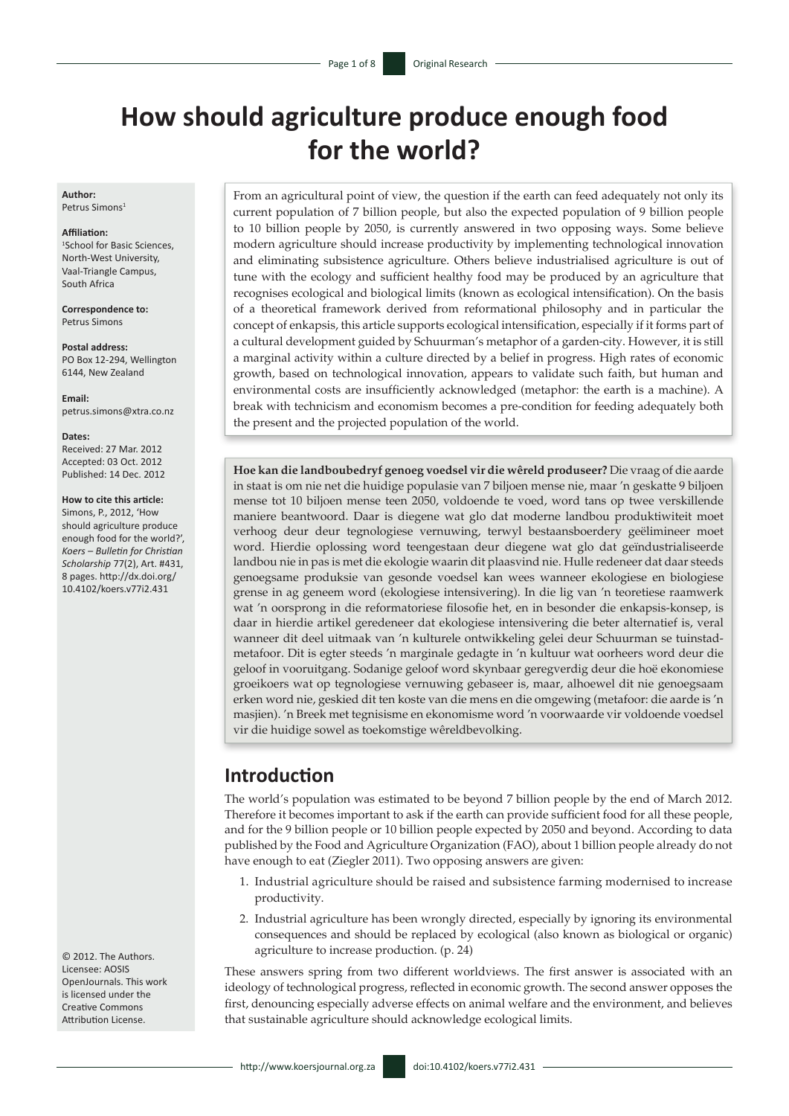# **How should agriculture produce enough food for the world?**

**Author:** Petrus Simons<sup>1</sup>

#### **Affiliation:**

1 School for Basic Sciences, North-West University, Vaal-Triangle Campus, South Africa

**Correspondence to:** Petrus Simons

**Postal address:** PO Box 12-294, Wellington 6144, New Zealand

**Email:** [petrus.simons@xtra.co.nz](mailto:petrus.simons@xtra.co.nz)

**Dates:** Received: 27 Mar. 2012 Accepted: 03 Oct. 2012 Published: 14 Dec. 2012

#### **How to cite this article:**

Simons, P., 2012, 'How should agriculture produce enough food for the world?', *Koers – Bulletin for Christian Scholarship* 77(2), Art. #431, 8 pages. [http://dx.doi.org/](http://dx.doi.org/10.4102/koers.v77i2.431)  [10.4102/koers.v77i2.431](http://dx.doi.org/10.4102/koers.v77i2.431)

© 2012. The Authors. Licensee: AOSIS OpenJournals. This work is licensed under the Creative Commons Attribution License.

From an agricultural point of view, the question if the earth can feed adequately not only its current population of 7 billion people, but also the expected population of 9 billion people to 10 billion people by 2050, is currently answered in two opposing ways. Some believe modern agriculture should increase productivity by implementing technological innovation and eliminating subsistence agriculture. Others believe industrialised agriculture is out of tune with the ecology and sufficient healthy food may be produced by an agriculture that recognises ecological and biological limits (known as ecological intensification). On the basis of a theoretical framework derived from reformational philosophy and in particular the concept of enkapsis, this article supports ecological intensification, especially if it forms part of a cultural development guided by Schuurman's metaphor of a garden-city. However, it is still a marginal activity within a culture directed by a belief in progress. High rates of economic growth, based on technological innovation, appears to validate such faith, but human and environmental costs are insufficiently acknowledged (metaphor: the earth is a machine). A break with technicism and economism becomes a pre-condition for feeding adequately both the present and the projected population of the world.

**Hoe kan die landboubedryf genoeg voedsel vir die wêreld produseer?** Die vraag of die aarde in staat is om nie net die huidige populasie van 7 biljoen mense nie, maar 'n geskatte 9 biljoen mense tot 10 biljoen mense teen 2050, voldoende te voed, word tans op twee verskillende maniere beantwoord. Daar is diegene wat glo dat moderne landbou produktiwiteit moet verhoog deur deur tegnologiese vernuwing, terwyl bestaansboerdery geëlimineer moet word. Hierdie oplossing word teengestaan deur diegene wat glo dat geïndustrialiseerde landbou nie in pas is met die ekologie waarin dit plaasvind nie. Hulle redeneer dat daar steeds genoegsame produksie van gesonde voedsel kan wees wanneer ekologiese en biologiese grense in ag geneem word (ekologiese intensivering). In die lig van 'n teoretiese raamwerk wat 'n oorsprong in die reformatoriese filosofie het, en in besonder die enkapsis-konsep, is daar in hierdie artikel geredeneer dat ekologiese intensivering die beter alternatief is, veral wanneer dit deel uitmaak van 'n kulturele ontwikkeling gelei deur Schuurman se tuinstadmetafoor. Dit is egter steeds 'n marginale gedagte in 'n kultuur wat oorheers word deur die geloof in vooruitgang. Sodanige geloof word skynbaar geregverdig deur die hoë ekonomiese groeikoers wat op tegnologiese vernuwing gebaseer is, maar, alhoewel dit nie genoegsaam erken word nie, geskied dit ten koste van die mens en die omgewing (metafoor: die aarde is 'n masjien). 'n Breek met tegnisisme en ekonomisme word 'n voorwaarde vir voldoende voedsel vir die huidige sowel as toekomstige wêreldbevolking.

### **Introduction**

The world's population was estimated to be beyond 7 billion people by the end of March 2012. Therefore it becomes important to ask if the earth can provide sufficient food for all these people, and for the 9 billion people or 10 billion people expected by 2050 and beyond. According to data published by the Food and Agriculture Organization (FAO), about 1 billion people already do not have enough to eat (Ziegler 2011). Two opposing answers are given:

- 1. Industrial agriculture should be raised and subsistence farming modernised to increase productivity.
- 2. Industrial agriculture has been wrongly directed, especially by ignoring its environmental consequences and should be replaced by ecological (also known as biological or organic) agriculture to increase production. (p. 24)

These answers spring from two different worldviews. The first answer is associated with an ideology of technological progress, reflected in economic growth. The second answer opposes the first, denouncing especially adverse effects on animal welfare and the environment, and believes that sustainable agriculture should acknowledge ecological limits.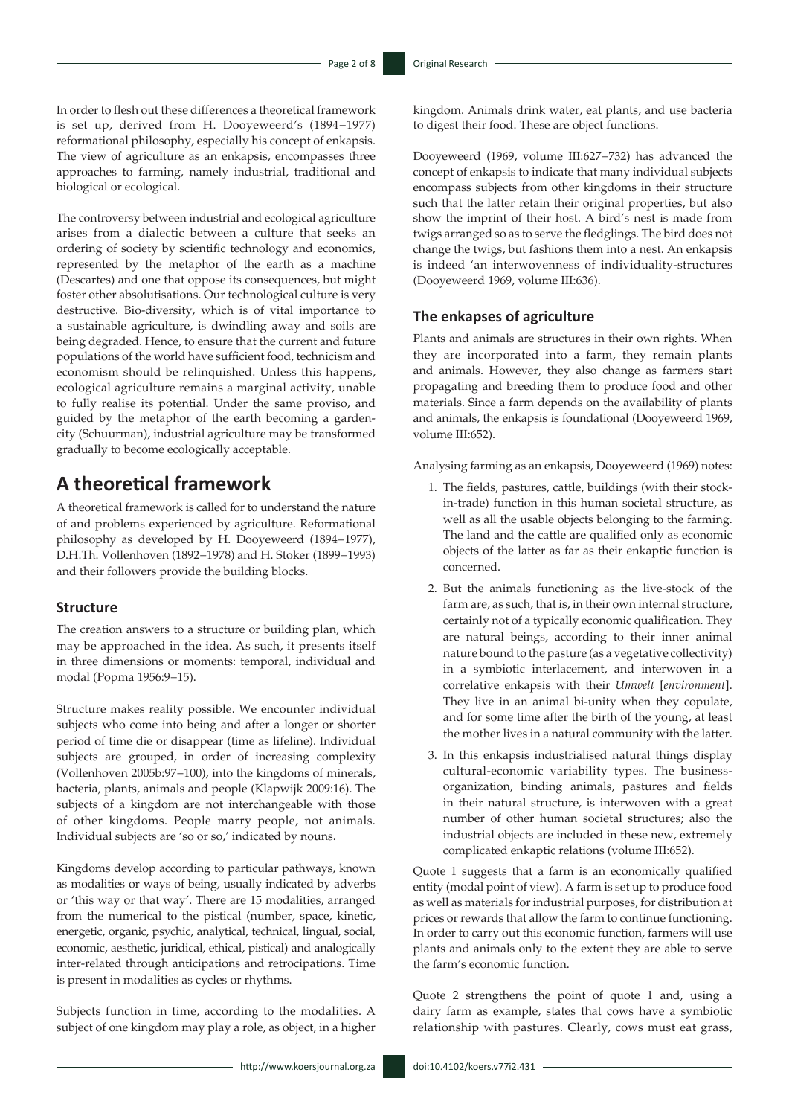In order to flesh out these differences a theoretical framework is set up, derived from H. Dooyeweerd's (1894−1977) reformational philosophy, especially his concept of enkapsis. The view of agriculture as an enkapsis, encompasses three approaches to farming, namely industrial, traditional and biological or ecological.

The controversy between industrial and ecological agriculture arises from a dialectic between a culture that seeks an ordering of society by scientific technology and economics, represented by the metaphor of the earth as a machine (Descartes) and one that oppose its consequences, but might foster other absolutisations. Our technological culture is very destructive. Bio-diversity, which is of vital importance to a sustainable agriculture, is dwindling away and soils are being degraded. Hence, to ensure that the current and future populations of the world have sufficient food, technicism and economism should be relinquished. Unless this happens, ecological agriculture remains a marginal activity, unable to fully realise its potential. Under the same proviso, and guided by the metaphor of the earth becoming a gardencity (Schuurman), industrial agriculture may be transformed gradually to become ecologically acceptable.

# **A theoretical framework**

A theoretical framework is called for to understand the nature of and problems experienced by agriculture. Reformational philosophy as developed by H. Dooyeweerd (1894−1977), D.H.Th. Vollenhoven (1892−1978) and H. Stoker (1899−1993) and their followers provide the building blocks.

### **Structure**

The creation answers to a structure or building plan, which may be approached in the idea. As such, it presents itself in three dimensions or moments: temporal, individual and modal (Popma 1956:9−15).

Structure makes reality possible. We encounter individual subjects who come into being and after a longer or shorter period of time die or disappear (time as lifeline). Individual subjects are grouped, in order of increasing complexity (Vollenhoven 2005b:97−100), into the kingdoms of minerals, bacteria, plants, animals and people (Klapwijk 2009:16). The subjects of a kingdom are not interchangeable with those of other kingdoms. People marry people, not animals. Individual subjects are 'so or so,' indicated by nouns.

Kingdoms develop according to particular pathways, known as modalities or ways of being, usually indicated by adverbs or 'this way or that way'. There are 15 modalities, arranged from the numerical to the pistical (number, space, kinetic, energetic, organic, psychic, analytical, technical, lingual, social, economic, aesthetic, juridical, ethical, pistical) and analogically inter-related through anticipations and retrocipations. Time is present in modalities as cycles or rhythms.

Subjects function in time, according to the modalities. A subject of one kingdom may play a role, as object, in a higher

http://www.koersjournal.org.za doi:10.4102/koers.v77i2.431 -

kingdom. Animals drink water, eat plants, and use bacteria to digest their food. These are object functions.

Dooyeweerd (1969, volume III:627−732) has advanced the concept of enkapsis to indicate that many individual subjects encompass subjects from other kingdoms in their structure such that the latter retain their original properties, but also show the imprint of their host. A bird's nest is made from twigs arranged so as to serve the fledglings. The bird does not change the twigs, but fashions them into a nest. An enkapsis is indeed 'an interwovenness of individuality-structures (Dooyeweerd 1969, volume III:636).

### **The enkapses of agriculture**

Plants and animals are structures in their own rights. When they are incorporated into a farm, they remain plants and animals. However, they also change as farmers start propagating and breeding them to produce food and other materials. Since a farm depends on the availability of plants and animals, the enkapsis is foundational (Dooyeweerd 1969, volume III:652).

Analysing farming as an enkapsis, Dooyeweerd (1969) notes:

- 1. The fields, pastures, cattle, buildings (with their stockin-trade) function in this human societal structure, as well as all the usable objects belonging to the farming. The land and the cattle are qualified only as economic objects of the latter as far as their enkaptic function is concerned.
- 2. But the animals functioning as the live-stock of the farm are, as such, that is, in their own internal structure, certainly not of a typically economic qualification. They are natural beings, according to their inner animal nature bound to the pasture (as a vegetative collectivity) in a symbiotic interlacement, and interwoven in a correlative enkapsis with their *Umwelt* [*environment*]. They live in an animal bi-unity when they copulate, and for some time after the birth of the young, at least the mother lives in a natural community with the latter.
- 3. In this enkapsis industrialised natural things display cultural-economic variability types. The businessorganization, binding animals, pastures and fields in their natural structure, is interwoven with a great number of other human societal structures; also the industrial objects are included in these new, extremely complicated enkaptic relations (volume III:652).

Quote 1 suggests that a farm is an economically qualified entity (modal point of view). A farm is set up to produce food as well as materials for industrial purposes, for distribution at prices or rewards that allow the farm to continue functioning. In order to carry out this economic function, farmers will use plants and animals only to the extent they are able to serve the farm's economic function.

Quote 2 strengthens the point of quote 1 and, using a dairy farm as example, states that cows have a symbiotic relationship with pastures. Clearly, cows must eat grass,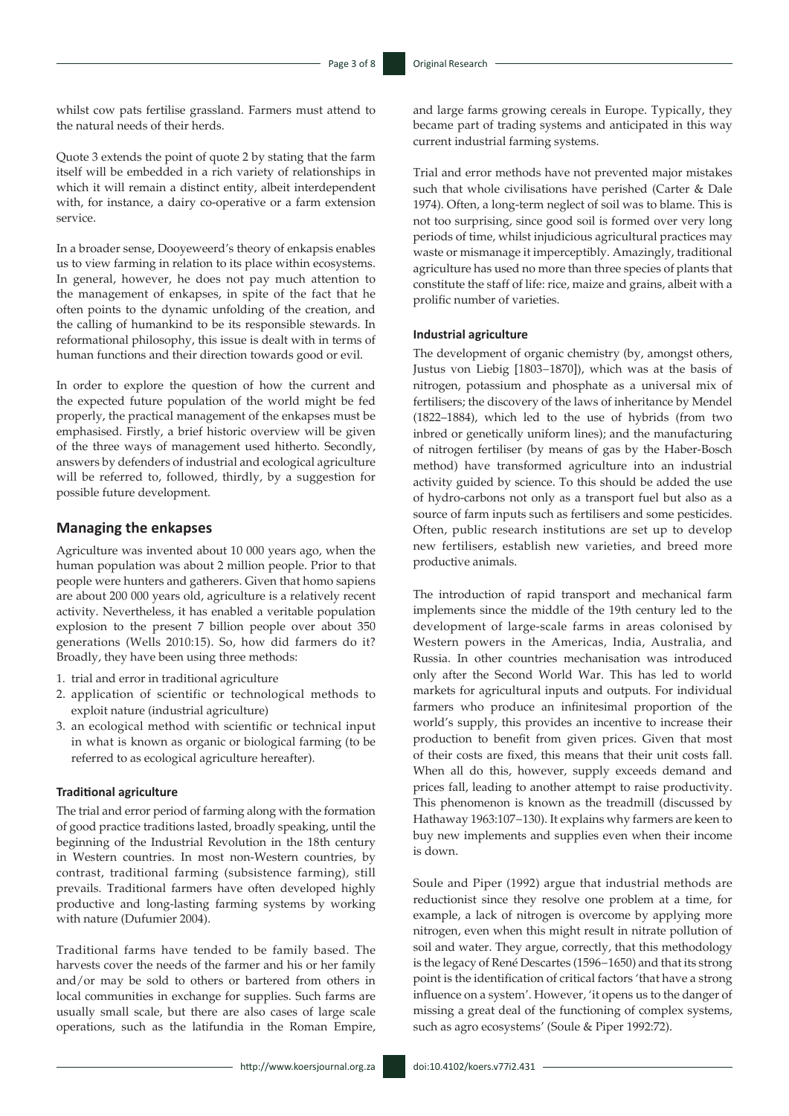whilst cow pats fertilise grassland. Farmers must attend to the natural needs of their herds.

Quote 3 extends the point of quote 2 by stating that the farm itself will be embedded in a rich variety of relationships in which it will remain a distinct entity, albeit interdependent with, for instance, a dairy co-operative or a farm extension service.

In a broader sense, Dooyeweerd's theory of enkapsis enables us to view farming in relation to its place within ecosystems. In general, however, he does not pay much attention to the management of enkapses, in spite of the fact that he often points to the dynamic unfolding of the creation, and the calling of humankind to be its responsible stewards. In reformational philosophy, this issue is dealt with in terms of human functions and their direction towards good or evil.

In order to explore the question of how the current and the expected future population of the world might be fed properly, the practical management of the enkapses must be emphasised. Firstly, a brief historic overview will be given of the three ways of management used hitherto. Secondly, answers by defenders of industrial and ecological agriculture will be referred to, followed, thirdly, by a suggestion for possible future development.

### **Managing the enkapses**

Agriculture was invented about 10 000 years ago, when the human population was about 2 million people. Prior to that people were hunters and gatherers. Given that homo sapiens are about 200 000 years old, agriculture is a relatively recent activity. Nevertheless, it has enabled a veritable population explosion to the present 7 billion people over about 350 generations (Wells 2010:15). So, how did farmers do it? Broadly, they have been using three methods:

- 1. trial and error in traditional agriculture
- 2. application of scientific or technological methods to exploit nature (industrial agriculture)
- 3. an ecological method with scientific or technical input in what is known as organic or biological farming (to be referred to as ecological agriculture hereafter).

### **Traditional agriculture**

The trial and error period of farming along with the formation of good practice traditions lasted, broadly speaking, until the beginning of the Industrial Revolution in the 18th century in Western countries. In most non-Western countries, by contrast, traditional farming (subsistence farming), still prevails. Traditional farmers have often developed highly productive and long-lasting farming systems by working with nature (Dufumier 2004).

Traditional farms have tended to be family based. The harvests cover the needs of the farmer and his or her family and/or may be sold to others or bartered from others in local communities in exchange for supplies. Such farms are usually small scale, but there are also cases of large scale operations, such as the latifundia in the Roman Empire,

and large farms growing cereals in Europe. Typically, they became part of trading systems and anticipated in this way current industrial farming systems.

Trial and error methods have not prevented major mistakes such that whole civilisations have perished (Carter & Dale 1974). Often, a long-term neglect of soil was to blame. This is not too surprising, since good soil is formed over very long periods of time, whilst injudicious agricultural practices may waste or mismanage it imperceptibly. Amazingly, traditional agriculture has used no more than three species of plants that constitute the staff of life: rice, maize and grains, albeit with a prolific number of varieties.

#### **Industrial agriculture**

The development of organic chemistry (by, amongst others, Justus von Liebig [1803−1870]), which was at the basis of nitrogen, potassium and phosphate as a universal mix of fertilisers; the discovery of the laws of inheritance by Mendel (1822–1884), which led to the use of hybrids (from two inbred or genetically uniform lines); and the manufacturing of nitrogen fertiliser (by means of gas by the Haber-Bosch method) have transformed agriculture into an industrial activity guided by science. To this should be added the use of hydro-carbons not only as a transport fuel but also as a source of farm inputs such as fertilisers and some pesticides. Often, public research institutions are set up to develop new fertilisers, establish new varieties, and breed more productive animals.

The introduction of rapid transport and mechanical farm implements since the middle of the 19th century led to the development of large-scale farms in areas colonised by Western powers in the Americas, India, Australia, and Russia. In other countries mechanisation was introduced only after the Second World War. This has led to world markets for agricultural inputs and outputs. For individual farmers who produce an infinitesimal proportion of the world's supply, this provides an incentive to increase their production to benefit from given prices. Given that most of their costs are fixed, this means that their unit costs fall. When all do this, however, supply exceeds demand and prices fall, leading to another attempt to raise productivity. This phenomenon is known as the treadmill (discussed by Hathaway 1963:107−130). It explains why farmers are keen to buy new implements and supplies even when their income is down.

Soule and Piper (1992) argue that industrial methods are reductionist since they resolve one problem at a time, for example, a lack of nitrogen is overcome by applying more nitrogen, even when this might result in nitrate pollution of soil and water. They argue, correctly, that this methodology is the legacy of René Descartes (1596−1650) and that its strong point is the identification of critical factors 'that have a strong influence on a system'. However, 'it opens us to the danger of missing a great deal of the functioning of complex systems, such as agro ecosystems' (Soule & Piper 1992:72).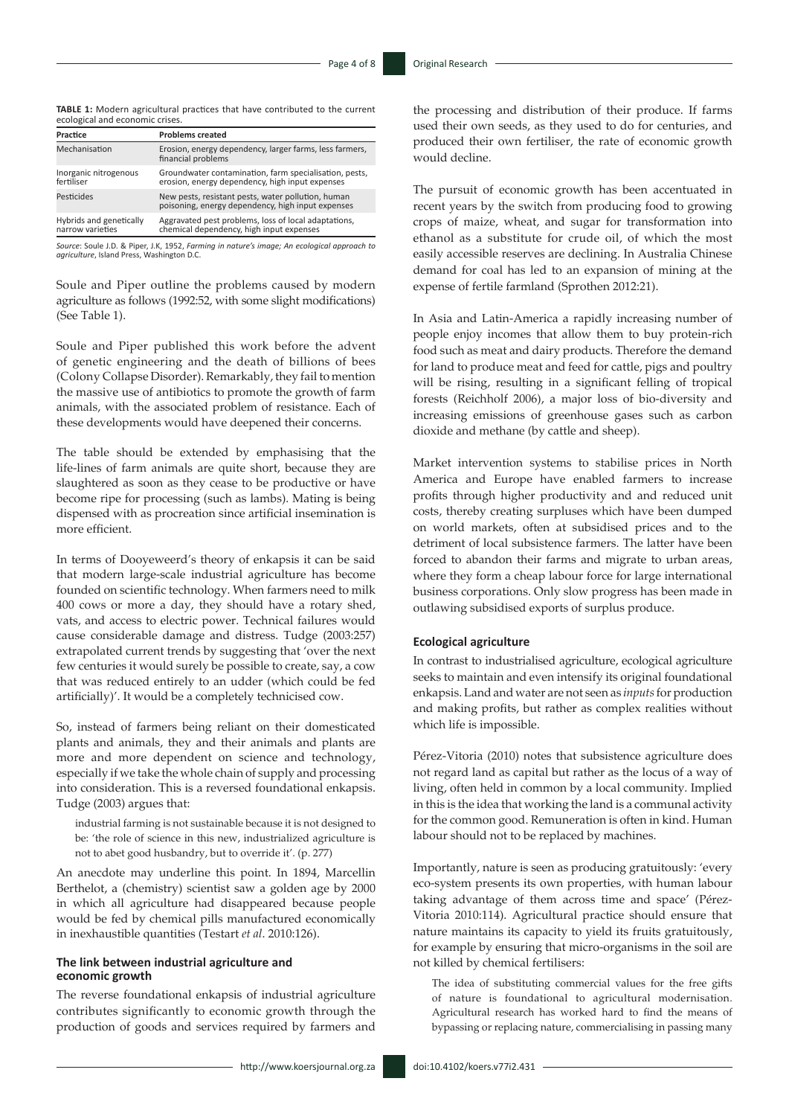**TABLE 1:** Modern agricultural practices that have contributed to the current ecological and economic crises.

| Practice                                    | <b>Problems created</b>                                                                                   |
|---------------------------------------------|-----------------------------------------------------------------------------------------------------------|
| Mechanisation                               | Erosion, energy dependency, larger farms, less farmers,<br>financial problems                             |
| Inorganic nitrogenous<br>fertiliser         | Groundwater contamination, farm specialisation, pests,<br>erosion, energy dependency, high input expenses |
| Pesticides                                  | New pests, resistant pests, water pollution, human<br>poisoning, energy dependency, high input expenses   |
| Hybrids and genetically<br>narrow varieties | Aggravated pest problems, loss of local adaptations,<br>chemical dependency, high input expenses          |

*Source*: Soule J.D. & Piper, J.K, 1952, *Farming in nature's image; An ecological approach to agriculture*, Island Press, Washington D.C.

Soule and Piper outline the problems caused by modern agriculture as follows (1992:52, with some slight modifications) (See Table 1).

Soule and Piper published this work before the advent of genetic engineering and the death of billions of bees (Colony Collapse Disorder). Remarkably, they fail to mention the massive use of antibiotics to promote the growth of farm animals, with the associated problem of resistance. Each of these developments would have deepened their concerns.

The table should be extended by emphasising that the life-lines of farm animals are quite short, because they are slaughtered as soon as they cease to be productive or have become ripe for processing (such as lambs). Mating is being dispensed with as procreation since artificial insemination is more efficient.

In terms of Dooyeweerd's theory of enkapsis it can be said that modern large-scale industrial agriculture has become founded on scientific technology. When farmers need to milk 400 cows or more a day, they should have a rotary shed, vats, and access to electric power. Technical failures would cause considerable damage and distress. Tudge (2003:257) extrapolated current trends by suggesting that 'over the next few centuries it would surely be possible to create, say, a cow that was reduced entirely to an udder (which could be fed artificially)'. It would be a completely technicised cow.

So, instead of farmers being reliant on their domesticated plants and animals, they and their animals and plants are more and more dependent on science and technology, especially if we take the whole chain of supply and processing into consideration. This is a reversed foundational enkapsis. Tudge (2003) argues that:

industrial farming is not sustainable because it is not designed to be: 'the role of science in this new, industrialized agriculture is not to abet good husbandry, but to override it'. (p. 277)

An anecdote may underline this point. In 1894, Marcellin Berthelot, a (chemistry) scientist saw a golden age by 2000 in which all agriculture had disappeared because people would be fed by chemical pills manufactured economically in inexhaustible quantities (Testart *et al*. 2010:126).

### **The link between industrial agriculture and economic growth**

The reverse foundational enkapsis of industrial agriculture contributes significantly to economic growth through the production of goods and services required by farmers and the processing and distribution of their produce. If farms used their own seeds, as they used to do for centuries, and produced their own fertiliser, the rate of economic growth would decline.

The pursuit of economic growth has been accentuated in recent years by the switch from producing food to growing crops of maize, wheat, and sugar for transformation into ethanol as a substitute for crude oil, of which the most easily accessible reserves are declining. In Australia Chinese demand for coal has led to an expansion of mining at the expense of fertile farmland (Sprothen 2012:21).

In Asia and Latin-America a rapidly increasing number of people enjoy incomes that allow them to buy protein-rich food such as meat and dairy products. Therefore the demand for land to produce meat and feed for cattle, pigs and poultry will be rising, resulting in a significant felling of tropical forests (Reichholf 2006), a major loss of bio-diversity and increasing emissions of greenhouse gases such as carbon dioxide and methane (by cattle and sheep).

Market intervention systems to stabilise prices in North America and Europe have enabled farmers to increase profits through higher productivity and and reduced unit costs, thereby creating surpluses which have been dumped on world markets, often at subsidised prices and to the detriment of local subsistence farmers. The latter have been forced to abandon their farms and migrate to urban areas, where they form a cheap labour force for large international business corporations. Only slow progress has been made in outlawing subsidised exports of surplus produce.

#### **Ecological agriculture**

In contrast to industrialised agriculture, ecological agriculture seeks to maintain and even intensify its original foundational enkapsis. Land and water are not seen as *inputs* for production and making profits, but rather as complex realities without which life is impossible.

Pérez-Vitoria (2010) notes that subsistence agriculture does not regard land as capital but rather as the locus of a way of living, often held in common by a local community. Implied in this is the idea that working the land is a communal activity for the common good. Remuneration is often in kind. Human labour should not to be replaced by machines.

Importantly, nature is seen as producing gratuitously: 'every eco-system presents its own properties, with human labour taking advantage of them across time and space' (Pérez-Vitoria 2010:114). Agricultural practice should ensure that nature maintains its capacity to yield its fruits gratuitously, for example by ensuring that micro-organisms in the soil are not killed by chemical fertilisers:

The idea of substituting commercial values for the free gifts of nature is foundational to agricultural modernisation. Agricultural research has worked hard to find the means of bypassing or replacing nature, commercialising in passing many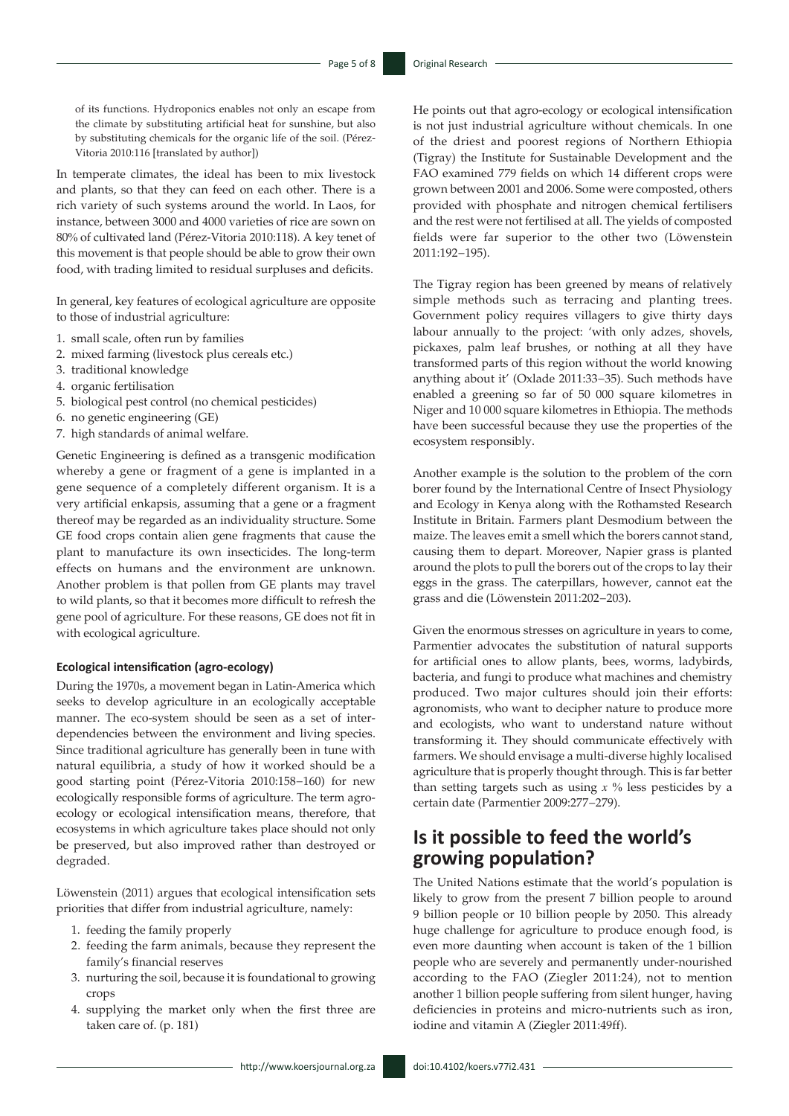of its functions. Hydroponics enables not only an escape from the climate by substituting artificial heat for sunshine, but also by substituting chemicals for the organic life of the soil. (Pérez-Vitoria 2010:116 [translated by author])

In temperate climates, the ideal has been to mix livestock and plants, so that they can feed on each other. There is a rich variety of such systems around the world. In Laos, for instance, between 3000 and 4000 varieties of rice are sown on 80% of cultivated land (Pérez-Vitoria 2010:118). A key tenet of this movement is that people should be able to grow their own food, with trading limited to residual surpluses and deficits.

In general, key features of ecological agriculture are opposite to those of industrial agriculture:

- 1. small scale, often run by families
- 2. mixed farming (livestock plus cereals etc.)
- 3. traditional knowledge
- 4. organic fertilisation
- 5. biological pest control (no chemical pesticides)
- 6. no genetic engineering (GE)
- 7. high standards of animal welfare.

Genetic Engineering is defined as a transgenic modification whereby a gene or fragment of a gene is implanted in a gene sequence of a completely different organism. It is a very artificial enkapsis, assuming that a gene or a fragment thereof may be regarded as an individuality structure. Some GE food crops contain alien gene fragments that cause the plant to manufacture its own insecticides. The long-term effects on humans and the environment are unknown. Another problem is that pollen from GE plants may travel to wild plants, so that it becomes more difficult to refresh the gene pool of agriculture. For these reasons, GE does not fit in with ecological agriculture.

#### **Ecological intensification (agro-ecology)**

During the 1970s, a movement began in Latin-America which seeks to develop agriculture in an ecologically acceptable manner. The eco-system should be seen as a set of interdependencies between the environment and living species. Since traditional agriculture has generally been in tune with natural equilibria, a study of how it worked should be a good starting point (Pérez-Vitoria 2010:158−160) for new ecologically responsible forms of agriculture. The term agroecology or ecological intensification means, therefore, that ecosystems in which agriculture takes place should not only be preserved, but also improved rather than destroyed or degraded.

Löwenstein (2011) argues that ecological intensification sets priorities that differ from industrial agriculture, namely:

- 1. feeding the family properly
- 2. feeding the farm animals, because they represent the family's financial reserves
- 3. nurturing the soil, because it is foundational to growing crops
- 4. supplying the market only when the first three are taken care of. (p. 181)

He points out that agro-ecology or ecological intensification is not just industrial agriculture without chemicals. In one of the driest and poorest regions of Northern Ethiopia (Tigray) the Institute for Sustainable Development and the FAO examined 779 fields on which 14 different crops were grown between 2001 and 2006. Some were composted, others provided with phosphate and nitrogen chemical fertilisers and the rest were not fertilised at all. The yields of composted fields were far superior to the other two (Löwenstein 2011:192−195).

The Tigray region has been greened by means of relatively simple methods such as terracing and planting trees. Government policy requires villagers to give thirty days labour annually to the project: 'with only adzes, shovels, pickaxes, palm leaf brushes, or nothing at all they have transformed parts of this region without the world knowing anything about it' (Oxlade 2011:33−35). Such methods have enabled a greening so far of 50 000 square kilometres in Niger and 10 000 square kilometres in Ethiopia. The methods have been successful because they use the properties of the ecosystem responsibly.

Another example is the solution to the problem of the corn borer found by the International Centre of Insect Physiology and Ecology in Kenya along with the Rothamsted Research Institute in Britain. Farmers plant Desmodium between the maize. The leaves emit a smell which the borers cannot stand, causing them to depart. Moreover, Napier grass is planted around the plots to pull the borers out of the crops to lay their eggs in the grass. The caterpillars, however, cannot eat the grass and die (Löwenstein 2011:202−203).

Given the enormous stresses on agriculture in years to come, Parmentier advocates the substitution of natural supports for artificial ones to allow plants, bees, worms, ladybirds, bacteria, and fungi to produce what machines and chemistry produced. Two major cultures should join their efforts: agronomists, who want to decipher nature to produce more and ecologists, who want to understand nature without transforming it. They should communicate effectively with farmers. We should envisage a multi-diverse highly localised agriculture that is properly thought through. This is far better than setting targets such as using *x* % less pesticides by a certain date (Parmentier 2009:277−279).

# **Is it possible to feed the world's growing population?**

The United Nations estimate that the world's population is likely to grow from the present 7 billion people to around 9 billion people or 10 billion people by 2050. This already huge challenge for agriculture to produce enough food, is even more daunting when account is taken of the 1 billion people who are severely and permanently under-nourished according to the FAO (Ziegler 2011:24), not to mention another 1 billion people suffering from silent hunger, having deficiencies in proteins and micro-nutrients such as iron, iodine and vitamin A (Ziegler 2011:49ff).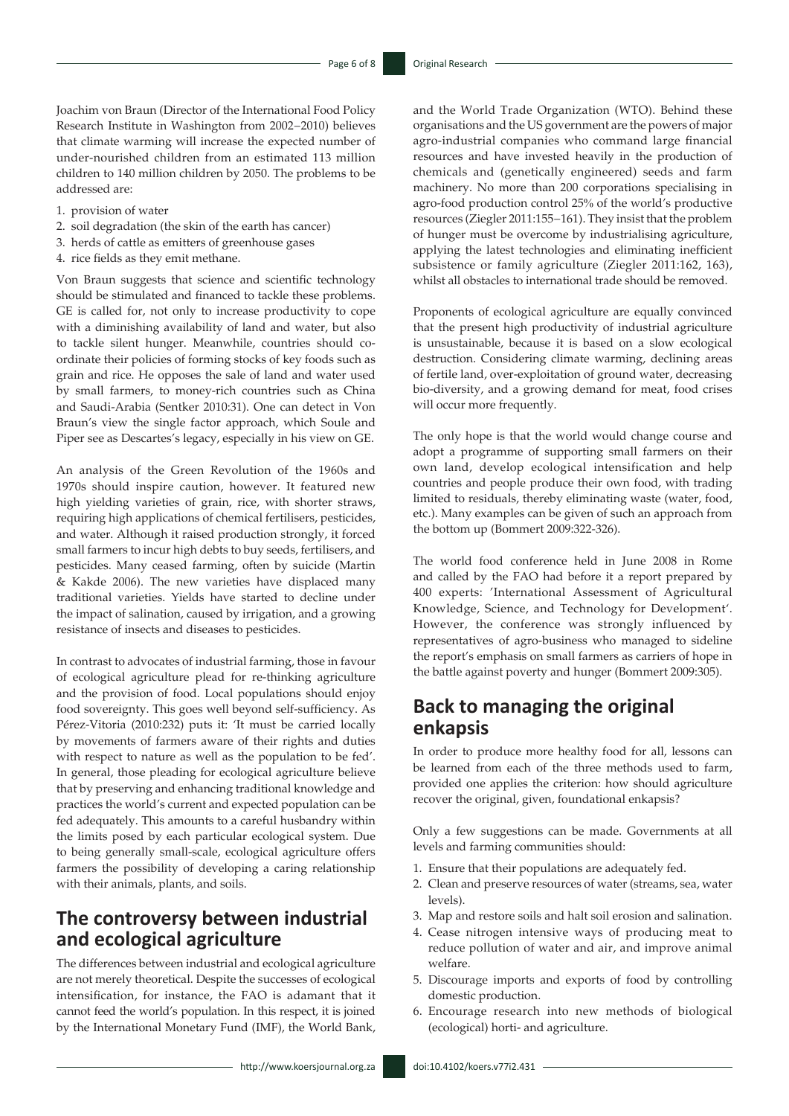Joachim von Braun (Director of the International Food Policy Research Institute in Washington from 2002−2010) believes that climate warming will increase the expected number of under-nourished children from an estimated 113 million children to 140 million children by 2050. The problems to be addressed are:

- 1. provision of water
- 2. soil degradation (the skin of the earth has cancer)
- 3. herds of cattle as emitters of greenhouse gases
- 4. rice fields as they emit methane.

Von Braun suggests that science and scientific technology should be stimulated and financed to tackle these problems. GE is called for, not only to increase productivity to cope with a diminishing availability of land and water, but also to tackle silent hunger. Meanwhile, countries should coordinate their policies of forming stocks of key foods such as grain and rice. He opposes the sale of land and water used by small farmers, to money-rich countries such as China and Saudi-Arabia (Sentker 2010:31). One can detect in Von Braun's view the single factor approach, which Soule and Piper see as Descartes's legacy, especially in his view on GE.

An analysis of the Green Revolution of the 1960s and 1970s should inspire caution, however. It featured new high yielding varieties of grain, rice, with shorter straws, requiring high applications of chemical fertilisers, pesticides, and water. Although it raised production strongly, it forced small farmers to incur high debts to buy seeds, fertilisers, and pesticides. Many ceased farming, often by suicide (Martin & Kakde 2006). The new varieties have displaced many traditional varieties. Yields have started to decline under the impact of salination, caused by irrigation, and a growing resistance of insects and diseases to pesticides.

In contrast to advocates of industrial farming, those in favour of ecological agriculture plead for re-thinking agriculture and the provision of food. Local populations should enjoy food sovereignty. This goes well beyond self-sufficiency. As Pérez-Vitoria (2010:232) puts it: 'It must be carried locally by movements of farmers aware of their rights and duties with respect to nature as well as the population to be fed'. In general, those pleading for ecological agriculture believe that by preserving and enhancing traditional knowledge and practices the world's current and expected population can be fed adequately. This amounts to a careful husbandry within the limits posed by each particular ecological system. Due to being generally small-scale, ecological agriculture offers farmers the possibility of developing a caring relationship with their animals, plants, and soils.

# **The controversy between industrial and ecological agriculture**

The differences between industrial and ecological agriculture are not merely theoretical. Despite the successes of ecological intensification, for instance, the FAO is adamant that it cannot feed the world's population. In this respect, it is joined by the International Monetary Fund (IMF), the World Bank, and the World Trade Organization (WTO). Behind these organisations and the US government are the powers of major agro-industrial companies who command large financial resources and have invested heavily in the production of chemicals and (genetically engineered) seeds and farm machinery. No more than 200 corporations specialising in agro-food production control 25% of the world's productive resources (Ziegler 2011:155−161). They insist that the problem of hunger must be overcome by industrialising agriculture, applying the latest technologies and eliminating inefficient subsistence or family agriculture (Ziegler 2011:162, 163), whilst all obstacles to international trade should be removed.

Proponents of ecological agriculture are equally convinced that the present high productivity of industrial agriculture is unsustainable, because it is based on a slow ecological destruction. Considering climate warming, declining areas of fertile land, over-exploitation of ground water, decreasing bio-diversity, and a growing demand for meat, food crises will occur more frequently.

The only hope is that the world would change course and adopt a programme of supporting small farmers on their own land, develop ecological intensification and help countries and people produce their own food, with trading limited to residuals, thereby eliminating waste (water, food, etc.). Many examples can be given of such an approach from the bottom up (Bommert 2009:322-326).

The world food conference held in June 2008 in Rome and called by the FAO had before it a report prepared by 400 experts: 'International Assessment of Agricultural Knowledge, Science, and Technology for Development'. However, the conference was strongly influenced by representatives of agro-business who managed to sideline the report's emphasis on small farmers as carriers of hope in the battle against poverty and hunger (Bommert 2009:305).

### **Back to managing the original enkapsis**

In order to produce more healthy food for all, lessons can be learned from each of the three methods used to farm, provided one applies the criterion: how should agriculture recover the original, given, foundational enkapsis?

Only a few suggestions can be made. Governments at all levels and farming communities should:

- 1. Ensure that their populations are adequately fed.
- 2. Clean and preserve resources of water (streams, sea, water levels).
- 3. Map and restore soils and halt soil erosion and salination.
- 4. Cease nitrogen intensive ways of producing meat to reduce pollution of water and air, and improve animal welfare.
- 5. Discourage imports and exports of food by controlling domestic production.
- 6. Encourage research into new methods of biological (ecological) horti- and agriculture.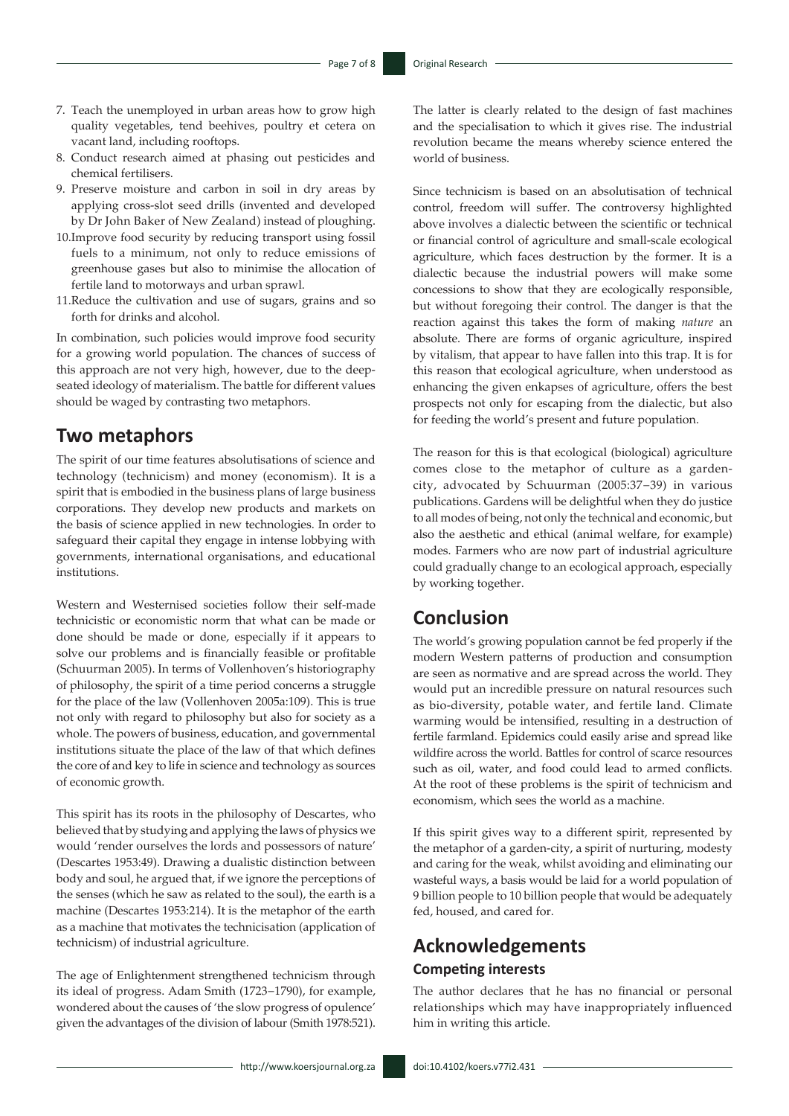- 7. Teach the unemployed in urban areas how to grow high quality vegetables, tend beehives, poultry et cetera on vacant land, including rooftops.
- 8. Conduct research aimed at phasing out pesticides and chemical fertilisers.
- 9. Preserve moisture and carbon in soil in dry areas by applying cross-slot seed drills (invented and developed by Dr John Baker of New Zealand) instead of ploughing.
- 10.Improve food security by reducing transport using fossil fuels to a minimum, not only to reduce emissions of greenhouse gases but also to minimise the allocation of fertile land to motorways and urban sprawl.
- 11.Reduce the cultivation and use of sugars, grains and so forth for drinks and alcohol.

In combination, such policies would improve food security for a growing world population. The chances of success of this approach are not very high, however, due to the deepseated ideology of materialism. The battle for different values should be waged by contrasting two metaphors.

### **Two metaphors**

The spirit of our time features absolutisations of science and technology (technicism) and money (economism). It is a spirit that is embodied in the business plans of large business corporations. They develop new products and markets on the basis of science applied in new technologies. In order to safeguard their capital they engage in intense lobbying with governments, international organisations, and educational institutions.

Western and Westernised societies follow their self-made technicistic or economistic norm that what can be made or done should be made or done, especially if it appears to solve our problems and is financially feasible or profitable (Schuurman 2005). In terms of Vollenhoven's historiography of philosophy, the spirit of a time period concerns a struggle for the place of the law (Vollenhoven 2005a:109). This is true not only with regard to philosophy but also for society as a whole. The powers of business, education, and governmental institutions situate the place of the law of that which defines the core of and key to life in science and technology as sources of economic growth.

This spirit has its roots in the philosophy of Descartes, who believed that by studying and applying the laws of physics we would 'render ourselves the lords and possessors of nature' (Descartes 1953:49). Drawing a dualistic distinction between body and soul, he argued that, if we ignore the perceptions of the senses (which he saw as related to the soul), the earth is a machine (Descartes 1953:214). It is the metaphor of the earth as a machine that motivates the technicisation (application of technicism) of industrial agriculture.

The age of Enlightenment strengthened technicism through its ideal of progress. Adam Smith (1723−1790), for example, wondered about the causes of 'the slow progress of opulence' given the advantages of the division of labour (Smith 1978:521). The latter is clearly related to the design of fast machines and the specialisation to which it gives rise. The industrial revolution became the means whereby science entered the world of business.

Since technicism is based on an absolutisation of technical control, freedom will suffer. The controversy highlighted above involves a dialectic between the scientific or technical or financial control of agriculture and small-scale ecological agriculture, which faces destruction by the former. It is a dialectic because the industrial powers will make some concessions to show that they are ecologically responsible, but without foregoing their control. The danger is that the reaction against this takes the form of making *nature* an absolute. There are forms of organic agriculture, inspired by vitalism, that appear to have fallen into this trap. It is for this reason that ecological agriculture, when understood as enhancing the given enkapses of agriculture, offers the best prospects not only for escaping from the dialectic, but also for feeding the world's present and future population.

The reason for this is that ecological (biological) agriculture comes close to the metaphor of culture as a gardencity, advocated by Schuurman (2005:37−39) in various publications. Gardens will be delightful when they do justice to all modes of being, not only the technical and economic, but also the aesthetic and ethical (animal welfare, for example) modes. Farmers who are now part of industrial agriculture could gradually change to an ecological approach, especially by working together.

### **Conclusion**

The world's growing population cannot be fed properly if the modern Western patterns of production and consumption are seen as normative and are spread across the world. They would put an incredible pressure on natural resources such as bio-diversity, potable water, and fertile land. Climate warming would be intensified, resulting in a destruction of fertile farmland. Epidemics could easily arise and spread like wildfire across the world. Battles for control of scarce resources such as oil, water, and food could lead to armed conflicts. At the root of these problems is the spirit of technicism and economism, which sees the world as a machine.

If this spirit gives way to a different spirit, represented by the metaphor of a garden-city, a spirit of nurturing, modesty and caring for the weak, whilst avoiding and eliminating our wasteful ways, a basis would be laid for a world population of 9 billion people to 10 billion people that would be adequately fed, housed, and cared for.

# **Acknowledgements Competing interests**

The author declares that he has no financial or personal relationships which may have inappropriately influenced him in writing this article.